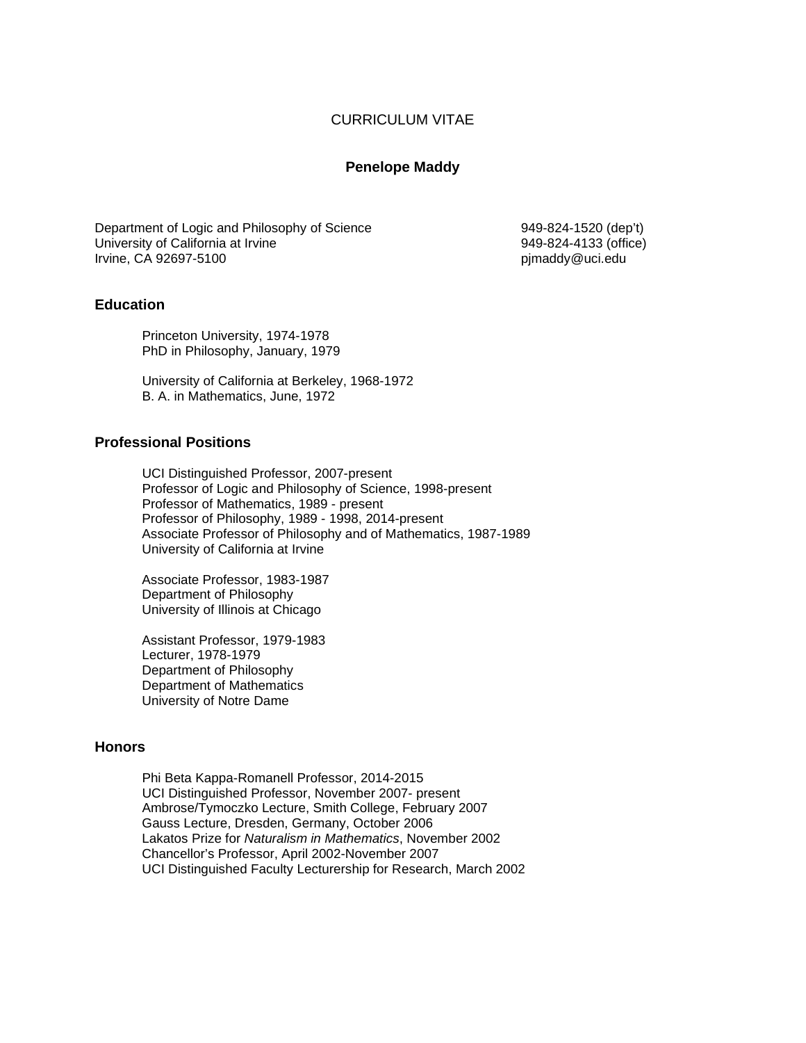## CURRICULUM VITAE

## **Penelope Maddy**

Department of Logic and Philosophy of Science 949-824-1520 (dep't) University of California at Irvine 1993 1999-824-4133 (office) and University of California at Irvine 949-824-4133 (office) 1999-824-4133 (office) Irvine, CA 92697-5100

## **Education**

Princeton University, 1974-1978 PhD in Philosophy, January, 1979

University of California at Berkeley, 1968-1972 B. A. in Mathematics, June, 1972

## **Professional Positions**

UCI Distinguished Professor, 2007-present Professor of Logic and Philosophy of Science, 1998-present Professor of Mathematics, 1989 - present Professor of Philosophy, 1989 - 1998, 2014-present Associate Professor of Philosophy and of Mathematics, 1987-1989 University of California at Irvine

Associate Professor, 1983-1987 Department of Philosophy University of Illinois at Chicago

Assistant Professor, 1979-1983 Lecturer, 1978-1979 Department of Philosophy Department of Mathematics University of Notre Dame

## **Honors**

Phi Beta Kappa-Romanell Professor, 2014-2015 UCI Distinguished Professor, November 2007- present Ambrose/Tymoczko Lecture, Smith College, February 2007 Gauss Lecture, Dresden, Germany, October 2006 Lakatos Prize for *Naturalism in Mathematics*, November 2002 Chancellor's Professor, April 2002-November 2007 UCI Distinguished Faculty Lecturership for Research, March 2002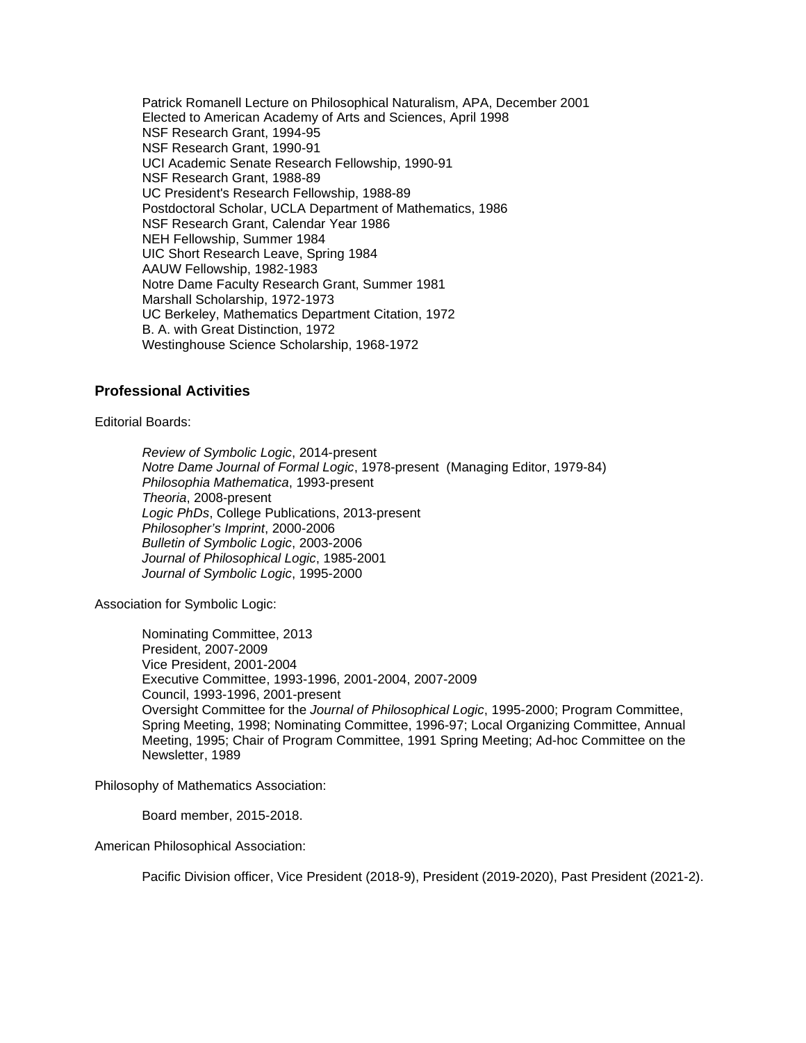Patrick Romanell Lecture on Philosophical Naturalism, APA, December 2001 Elected to American Academy of Arts and Sciences, April 1998 NSF Research Grant, 1994-95 NSF Research Grant, 1990-91 UCI Academic Senate Research Fellowship, 1990-91 NSF Research Grant, 1988-89 UC President's Research Fellowship, 1988-89 Postdoctoral Scholar, UCLA Department of Mathematics, 1986 NSF Research Grant, Calendar Year 1986 NEH Fellowship, Summer 1984 UIC Short Research Leave, Spring 1984 AAUW Fellowship, 1982-1983 Notre Dame Faculty Research Grant, Summer 1981 Marshall Scholarship, 1972-1973 UC Berkeley, Mathematics Department Citation, 1972 B. A. with Great Distinction, 1972 Westinghouse Science Scholarship, 1968-1972

## **Professional Activities**

#### Editorial Boards:

*Review of Symbolic Logic*, 2014-present *Notre Dame Journal of Formal Logic*, 1978-present (Managing Editor, 1979-84) *Philosophia Mathematica*, 1993-present *Theoria*, 2008-present *Logic PhDs*, College Publications, 2013-present *Philosopher's Imprint*, 2000-2006 *Bulletin of Symbolic Logic*, 2003-2006 *Journal of Philosophical Logic*, 1985-2001 *Journal of Symbolic Logic*, 1995-2000

Association for Symbolic Logic:

Nominating Committee, 2013 President, 2007-2009 Vice President, 2001-2004 Executive Committee, 1993-1996, 2001-2004, 2007-2009 Council, 1993-1996, 2001-present Oversight Committee for the *Journal of Philosophical Logic*, 1995-2000; Program Committee, Spring Meeting, 1998; Nominating Committee, 1996-97; Local Organizing Committee, Annual Meeting, 1995; Chair of Program Committee, 1991 Spring Meeting; Ad-hoc Committee on the Newsletter, 1989

Philosophy of Mathematics Association:

Board member, 2015-2018.

American Philosophical Association:

Pacific Division officer, Vice President (2018-9), President (2019-2020), Past President (2021-2).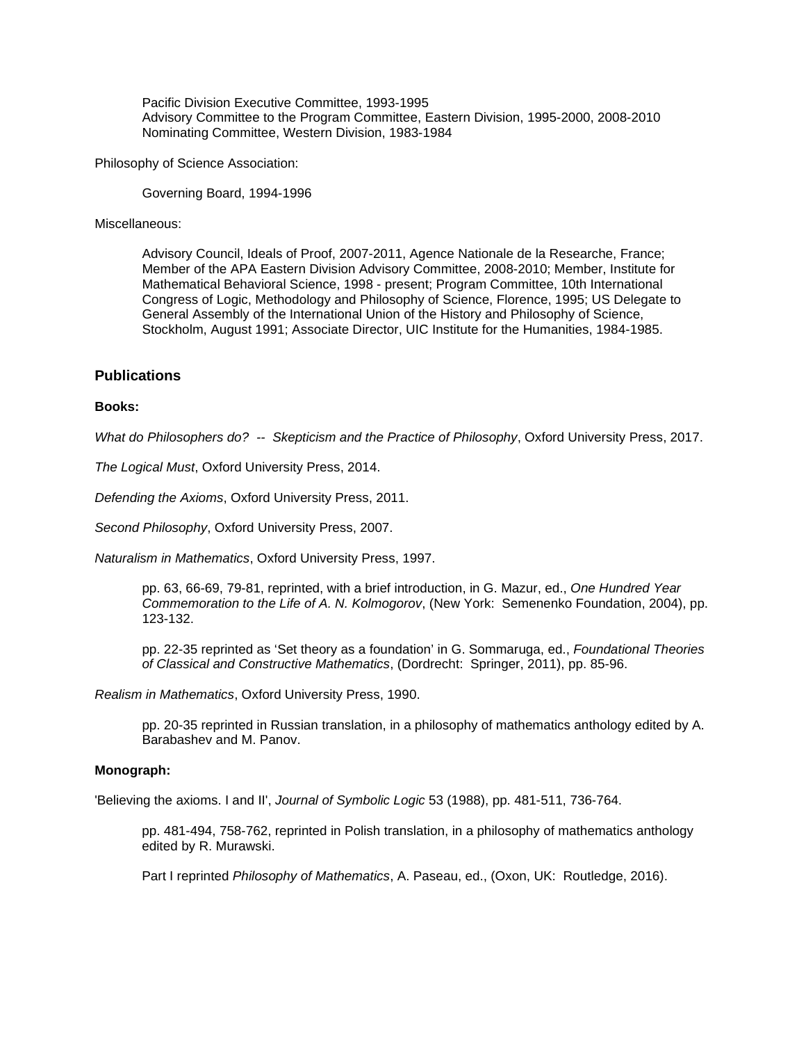Pacific Division Executive Committee, 1993-1995 Advisory Committee to the Program Committee, Eastern Division, 1995-2000, 2008-2010 Nominating Committee, Western Division, 1983-1984

Philosophy of Science Association:

Governing Board, 1994-1996

Miscellaneous:

Advisory Council, Ideals of Proof, 2007-2011, Agence Nationale de la Researche, France; Member of the APA Eastern Division Advisory Committee, 2008-2010; Member, Institute for Mathematical Behavioral Science, 1998 - present; Program Committee, 10th International Congress of Logic, Methodology and Philosophy of Science, Florence, 1995; US Delegate to General Assembly of the International Union of the History and Philosophy of Science, Stockholm, August 1991; Associate Director, UIC Institute for the Humanities, 1984-1985.

## **Publications**

#### **Books:**

*What do Philosophers do? -- Skepticism and the Practice of Philosophy*, Oxford University Press, 2017.

*The Logical Must*, Oxford University Press, 2014.

*Defending the Axioms*, Oxford University Press, 2011.

*Second Philosophy*, Oxford University Press, 2007.

*Naturalism in Mathematics*, Oxford University Press, 1997.

pp. 63, 66-69, 79-81, reprinted, with a brief introduction, in G. Mazur, ed., *One Hundred Year Commemoration to the Life of A. N. Kolmogorov*, (New York: Semenenko Foundation, 2004), pp. 123-132.

pp. 22-35 reprinted as 'Set theory as a foundation' in G. Sommaruga, ed., *Foundational Theories of Classical and Constructive Mathematics*, (Dordrecht: Springer, 2011), pp. 85-96.

*Realism in Mathematics*, Oxford University Press, 1990.

pp. 20-35 reprinted in Russian translation, in a philosophy of mathematics anthology edited by A. Barabashev and M. Panov.

#### **Monograph:**

'Believing the axioms. I and II', *Journal of Symbolic Logic* 53 (1988), pp. 481-511, 736-764.

pp. 481-494, 758-762, reprinted in Polish translation, in a philosophy of mathematics anthology edited by R. Murawski.

Part I reprinted *Philosophy of Mathematics*, A. Paseau, ed., (Oxon, UK: Routledge, 2016).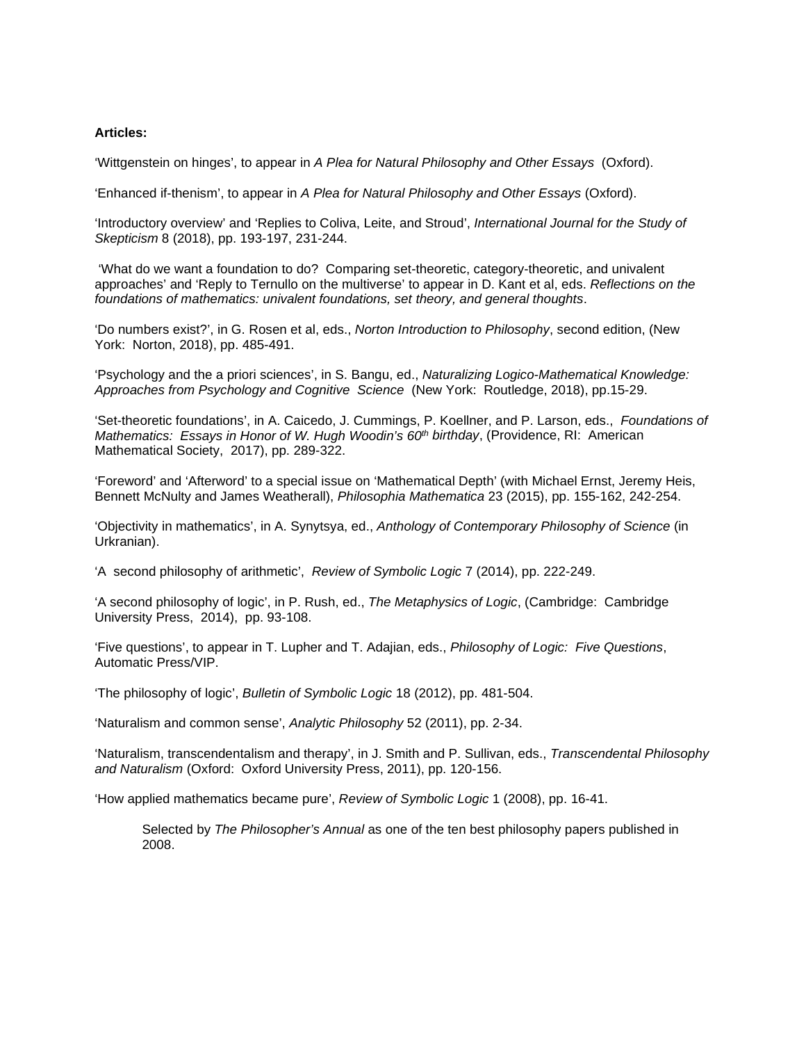#### **Articles:**

'Wittgenstein on hinges', to appear in *A Plea for Natural Philosophy and Other Essays* (Oxford).

'Enhanced if-thenism', to appear in *A Plea for Natural Philosophy and Other Essays* (Oxford).

'Introductory overview' and 'Replies to Coliva, Leite, and Stroud', *International Journal for the Study of Skepticism* 8 (2018), pp. 193-197, 231-244.

'What do we want a foundation to do? Comparing set-theoretic, category-theoretic, and univalent approaches' and 'Reply to Ternullo on the multiverse' to appear in D. Kant et al, eds. *Reflections on the foundations of mathematics: univalent foundations, set theory, and general thoughts*.

'Do numbers exist?', in G. Rosen et al, eds., *Norton Introduction to Philosophy*, second edition, (New York: Norton, 2018), pp. 485-491.

'Psychology and the a priori sciences', in S. Bangu, ed., *Naturalizing Logico-Mathematical Knowledge: Approaches from Psychology and Cognitive Science* (New York: Routledge, 2018), pp.15-29.

'Set-theoretic foundations', in A. Caicedo, J. Cummings, P. Koellner, and P. Larson, eds., *Foundations of Mathematics: Essays in Honor of W. Hugh Woodin's 60<sup>th</sup> birthday, (Providence, RI: American* Mathematical Society, 2017), pp. 289-322.

'Foreword' and 'Afterword' to a special issue on 'Mathematical Depth' (with Michael Ernst, Jeremy Heis, Bennett McNulty and James Weatherall), *Philosophia Mathematica* 23 (2015), pp. 155-162, 242-254.

'Objectivity in mathematics', in A. Synytsya, ed., *Anthology of Contemporary Philosophy of Science* (in Urkranian).

'A second philosophy of arithmetic', *Review of Symbolic Logic* 7 (2014), pp. 222-249.

'A second philosophy of logic', in P. Rush, ed., *The Metaphysics of Logic*, (Cambridge: Cambridge University Press, 2014), pp. 93-108.

'Five questions', to appear in T. Lupher and T. Adajian, eds., *Philosophy of Logic: Five Questions*, Automatic Press/VIP.

'The philosophy of logic', *Bulletin of Symbolic Logic* 18 (2012), pp. 481-504.

'Naturalism and common sense', *Analytic Philosophy* 52 (2011), pp. 2-34.

'Naturalism, transcendentalism and therapy', in J. Smith and P. Sullivan, eds., *Transcendental Philosophy and Naturalism* (Oxford: Oxford University Press, 2011), pp. 120-156.

'How applied mathematics became pure', *Review of Symbolic Logic* 1 (2008), pp. 16-41.

Selected by *The Philosopher's Annual* as one of the ten best philosophy papers published in 2008.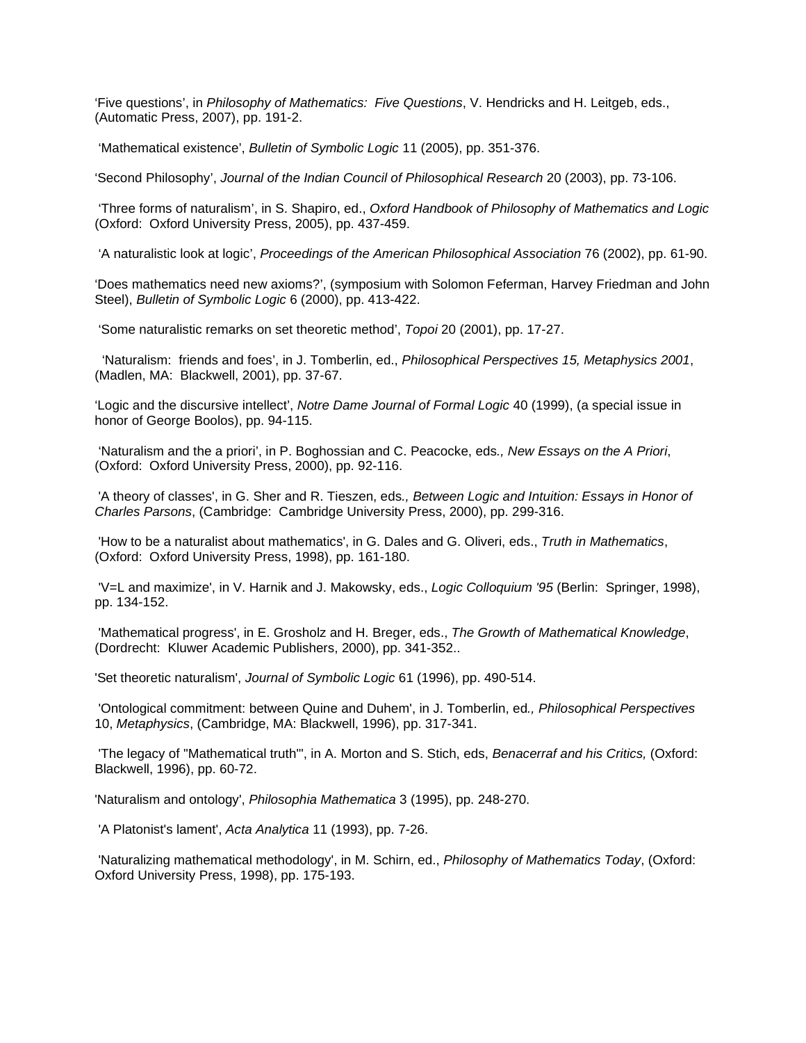'Five questions', in *Philosophy of Mathematics: Five Questions*, V. Hendricks and H. Leitgeb, eds., (Automatic Press, 2007), pp. 191-2.

'Mathematical existence', *Bulletin of Symbolic Logic* 11 (2005), pp. 351-376.

'Second Philosophy', *Journal of the Indian Council of Philosophical Research* 20 (2003), pp. 73-106.

'Three forms of naturalism', in S. Shapiro, ed., *Oxford Handbook of Philosophy of Mathematics and Logic* (Oxford: Oxford University Press, 2005), pp. 437-459.

'A naturalistic look at logic', *Proceedings of the American Philosophical Association* 76 (2002), pp. 61-90.

'Does mathematics need new axioms?', (symposium with Solomon Feferman, Harvey Friedman and John Steel), *Bulletin of Symbolic Logic* 6 (2000), pp. 413-422.

'Some naturalistic remarks on set theoretic method', *Topoi* 20 (2001), pp. 17-27.

 'Naturalism: friends and foes', in J. Tomberlin, ed., *Philosophical Perspectives 15, Metaphysics 2001*, (Madlen, MA: Blackwell, 2001), pp. 37-67.

'Logic and the discursive intellect', *Notre Dame Journal of Formal Logic* 40 (1999), (a special issue in honor of George Boolos), pp. 94-115.

'Naturalism and the a priori', in P. Boghossian and C. Peacocke, eds*., New Essays on the A Priori*, (Oxford: Oxford University Press, 2000), pp. 92-116.

'A theory of classes', in G. Sher and R. Tieszen, eds*., Between Logic and Intuition: Essays in Honor of Charles Parsons*, (Cambridge: Cambridge University Press, 2000), pp. 299-316.

'How to be a naturalist about mathematics', in G. Dales and G. Oliveri, eds., *Truth in Mathematics*, (Oxford: Oxford University Press, 1998), pp. 161-180.

'V=L and maximize', in V. Harnik and J. Makowsky, eds., *Logic Colloquium '95* (Berlin: Springer, 1998), pp. 134-152.

'Mathematical progress', in E. Grosholz and H. Breger, eds., *The Growth of Mathematical Knowledge*, (Dordrecht: Kluwer Academic Publishers, 2000), pp. 341-352..

'Set theoretic naturalism', *Journal of Symbolic Logic* 61 (1996), pp. 490-514.

'Ontological commitment: between Quine and Duhem', in J. Tomberlin, ed*., Philosophical Perspectives* 10, *Metaphysics*, (Cambridge, MA: Blackwell, 1996), pp. 317-341.

'The legacy of "Mathematical truth"', in A. Morton and S. Stich, eds, *Benacerraf and his Critics,* (Oxford: Blackwell, 1996), pp. 60-72.

'Naturalism and ontology', *Philosophia Mathematica* 3 (1995), pp. 248-270.

'A Platonist's lament', *Acta Analytica* 11 (1993), pp. 7-26.

'Naturalizing mathematical methodology', in M. Schirn, ed., *Philosophy of Mathematics Today*, (Oxford: Oxford University Press, 1998), pp. 175-193.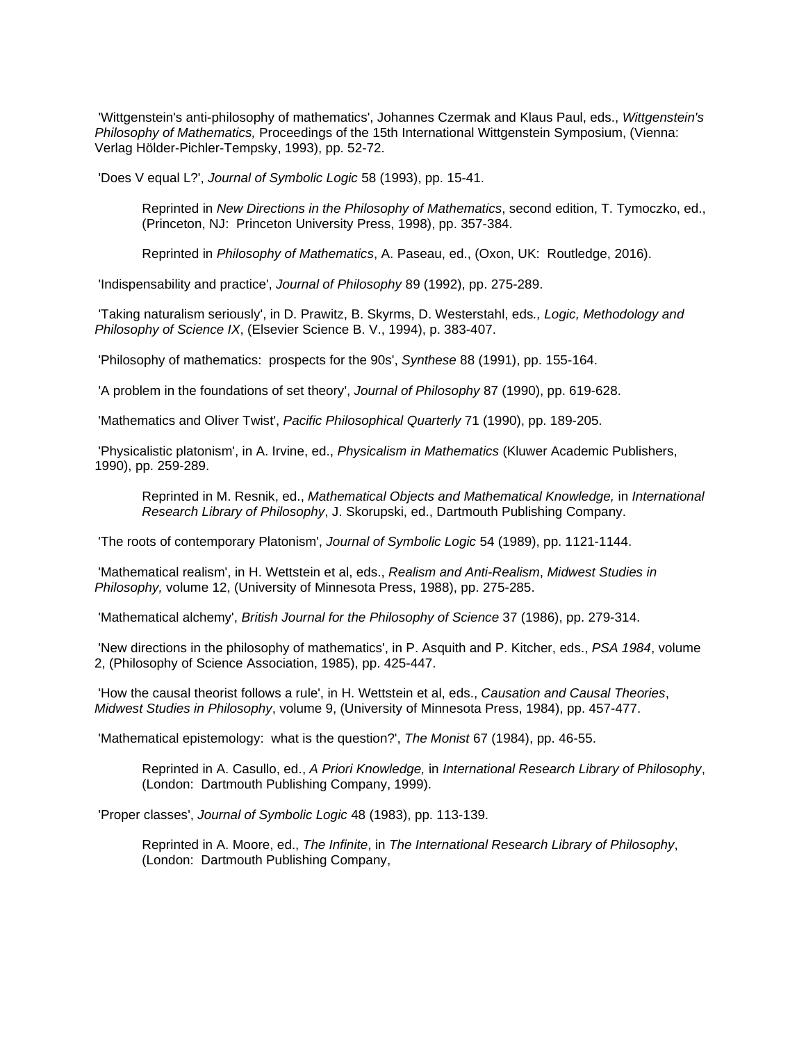'Wittgenstein's anti-philosophy of mathematics', Johannes Czermak and Klaus Paul, eds., *Wittgenstein's Philosophy of Mathematics,* Proceedings of the 15th International Wittgenstein Symposium, (Vienna: Verlag Hölder-Pichler-Tempsky, 1993), pp. 52-72.

'Does V equal L?', *Journal of Symbolic Logic* 58 (1993), pp. 15-41.

Reprinted in *New Directions in the Philosophy of Mathematics*, second edition, T. Tymoczko, ed., (Princeton, NJ: Princeton University Press, 1998), pp. 357-384.

Reprinted in *Philosophy of Mathematics*, A. Paseau, ed., (Oxon, UK: Routledge, 2016).

'Indispensability and practice', *Journal of Philosophy* 89 (1992), pp. 275-289.

'Taking naturalism seriously', in D. Prawitz, B. Skyrms, D. Westerstahl, eds*., Logic, Methodology and Philosophy of Science IX*, (Elsevier Science B. V., 1994), p. 383-407.

'Philosophy of mathematics: prospects for the 90s', *Synthese* 88 (1991), pp. 155-164.

'A problem in the foundations of set theory', *Journal of Philosophy* 87 (1990), pp. 619-628.

'Mathematics and Oliver Twist', *Pacific Philosophical Quarterly* 71 (1990), pp. 189-205.

'Physicalistic platonism', in A. Irvine, ed., *Physicalism in Mathematics* (Kluwer Academic Publishers, 1990), pp. 259-289.

Reprinted in M. Resnik, ed., *Mathematical Objects and Mathematical Knowledge,* in *International Research Library of Philosophy*, J. Skorupski, ed., Dartmouth Publishing Company.

'The roots of contemporary Platonism', *Journal of Symbolic Logic* 54 (1989), pp. 1121-1144.

'Mathematical realism', in H. Wettstein et al, eds., *Realism and Anti-Realism*, *Midwest Studies in Philosophy,* volume 12, (University of Minnesota Press, 1988), pp. 275-285.

'Mathematical alchemy', *British Journal for the Philosophy of Science* 37 (1986), pp. 279-314.

'New directions in the philosophy of mathematics', in P. Asquith and P. Kitcher, eds., *PSA 1984*, volume 2, (Philosophy of Science Association, 1985), pp. 425-447.

'How the causal theorist follows a rule', in H. Wettstein et al, eds., *Causation and Causal Theories*, *Midwest Studies in Philosophy*, volume 9, (University of Minnesota Press, 1984), pp. 457-477.

'Mathematical epistemology: what is the question?', *The Monist* 67 (1984), pp. 46-55.

Reprinted in A. Casullo, ed., *A Priori Knowledge,* in *International Research Library of Philosophy*, (London: Dartmouth Publishing Company, 1999).

'Proper classes', *Journal of Symbolic Logic* 48 (1983), pp. 113-139.

Reprinted in A. Moore, ed., *The Infinite*, in *The International Research Library of Philosophy*, (London: Dartmouth Publishing Company,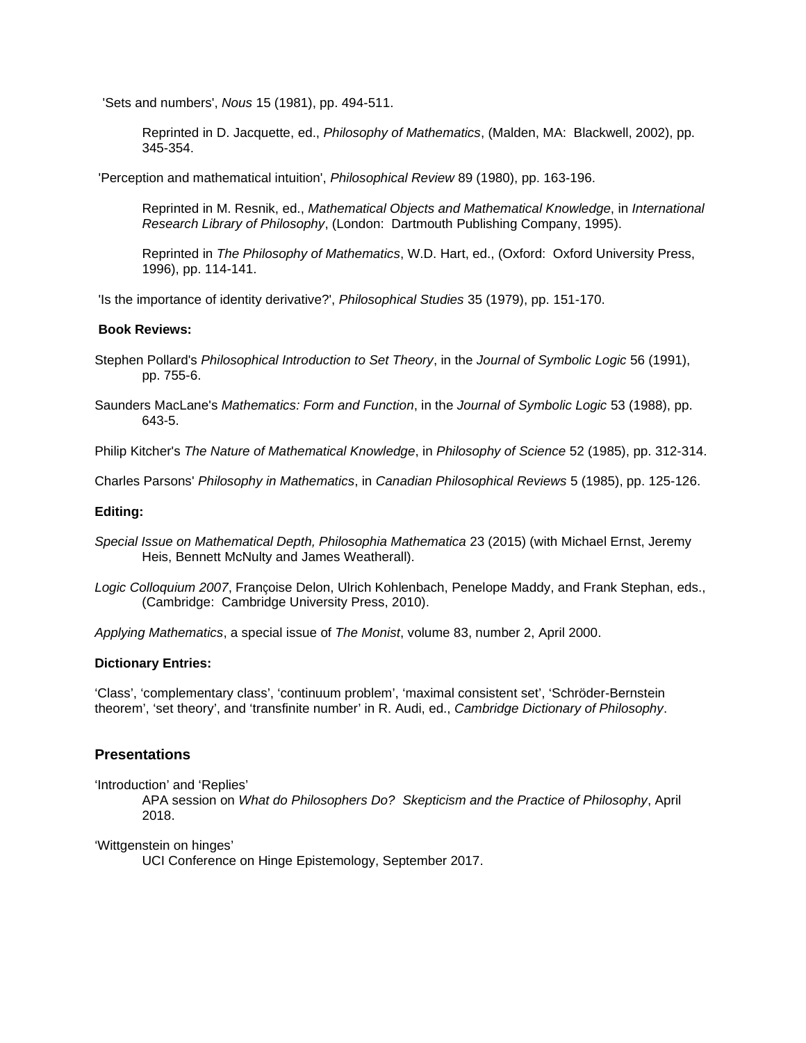'Sets and numbers', *Nous* 15 (1981), pp. 494-511.

Reprinted in D. Jacquette, ed., *Philosophy of Mathematics*, (Malden, MA: Blackwell, 2002), pp. 345-354.

'Perception and mathematical intuition', *Philosophical Review* 89 (1980), pp. 163-196.

Reprinted in M. Resnik, ed., *Mathematical Objects and Mathematical Knowledge*, in *International Research Library of Philosophy*, (London: Dartmouth Publishing Company, 1995).

Reprinted in *The Philosophy of Mathematics*, W.D. Hart, ed., (Oxford: Oxford University Press, 1996), pp. 114-141.

'Is the importance of identity derivative?', *Philosophical Studies* 35 (1979), pp. 151-170.

## **Book Reviews:**

- Stephen Pollard's *Philosophical Introduction to Set Theory*, in the *Journal of Symbolic Logic* 56 (1991), pp. 755-6.
- Saunders MacLane's *Mathematics: Form and Function*, in the *Journal of Symbolic Logic* 53 (1988), pp. 643-5.

Philip Kitcher's *The Nature of Mathematical Knowledge*, in *Philosophy of Science* 52 (1985), pp. 312-314.

Charles Parsons' *Philosophy in Mathematics*, in *Canadian Philosophical Reviews* 5 (1985), pp. 125-126.

## **Editing:**

- *Special Issue on Mathematical Depth, Philosophia Mathematica* 23 (2015) (with Michael Ernst, Jeremy Heis, Bennett McNulty and James Weatherall).
- *Logic Colloquium 2007*, Françoise Delon, Ulrich Kohlenbach, Penelope Maddy, and Frank Stephan, eds., (Cambridge: Cambridge University Press, 2010).

*Applying Mathematics*, a special issue of *The Monist*, volume 83, number 2, April 2000.

## **Dictionary Entries:**

'Class', 'complementary class', 'continuum problem', 'maximal consistent set', 'Schröder-Bernstein theorem', 'set theory', and 'transfinite number' in R. Audi, ed., *Cambridge Dictionary of Philosophy*.

## **Presentations**

'Introduction' and 'Replies'

APA session on *What do Philosophers Do? Skepticism and the Practice of Philosophy*, April 2018.

'Wittgenstein on hinges'

UCI Conference on Hinge Epistemology, September 2017.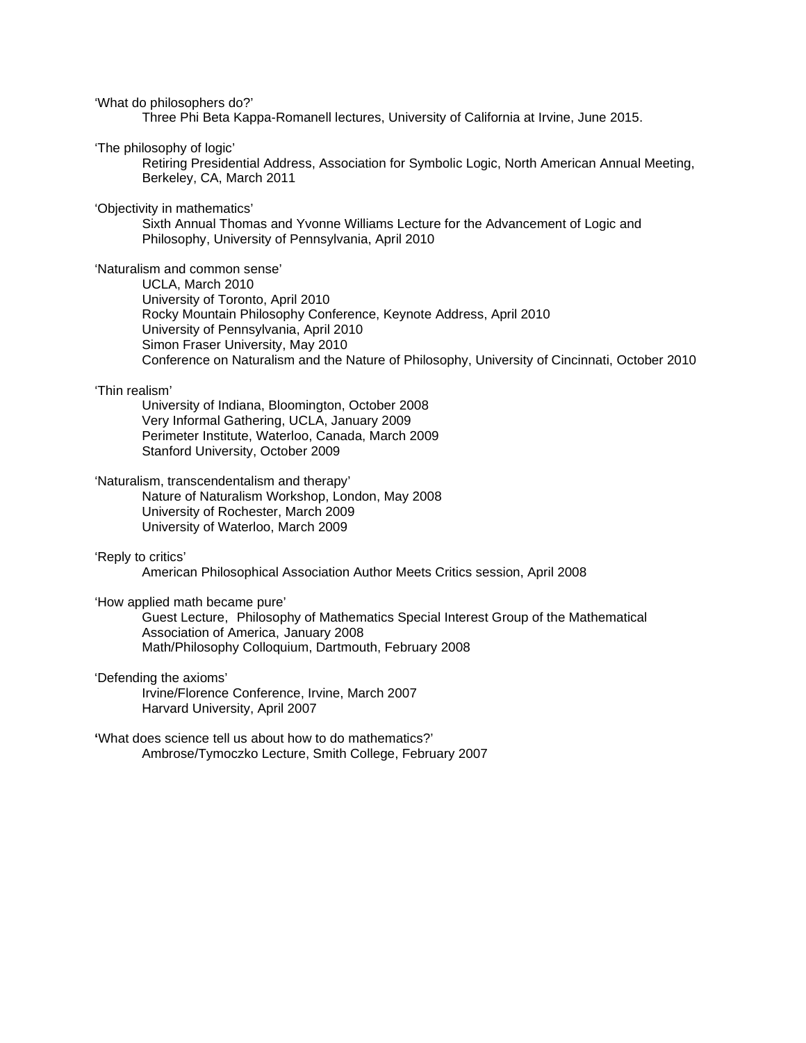'What do philosophers do?'

Three Phi Beta Kappa-Romanell lectures, University of California at Irvine, June 2015.

'The philosophy of logic'

Retiring Presidential Address, Association for Symbolic Logic, North American Annual Meeting, Berkeley, CA, March 2011

'Objectivity in mathematics'

Sixth Annual Thomas and Yvonne Williams Lecture for the Advancement of Logic and Philosophy, University of Pennsylvania, April 2010

'Naturalism and common sense'

UCLA, March 2010 University of Toronto, April 2010 Rocky Mountain Philosophy Conference, Keynote Address, April 2010 University of Pennsylvania, April 2010 Simon Fraser University, May 2010 Conference on Naturalism and the Nature of Philosophy, University of Cincinnati, October 2010

'Thin realism'

University of Indiana, Bloomington, October 2008 Very Informal Gathering, UCLA, January 2009 Perimeter Institute, Waterloo, Canada, March 2009 Stanford University, October 2009

'Naturalism, transcendentalism and therapy'

Nature of Naturalism Workshop, London, May 2008 University of Rochester, March 2009 University of Waterloo, March 2009

'Reply to critics'

American Philosophical Association Author Meets Critics session, April 2008

'How applied math became pure'

Guest Lecture, Philosophy of Mathematics Special Interest Group of the Mathematical Association of America, January 2008 Math/Philosophy Colloquium, Dartmouth, February 2008

'Defending the axioms'

Irvine/Florence Conference, Irvine, March 2007 Harvard University, April 2007

**'**What does science tell us about how to do mathematics?' Ambrose/Tymoczko Lecture, Smith College, February 2007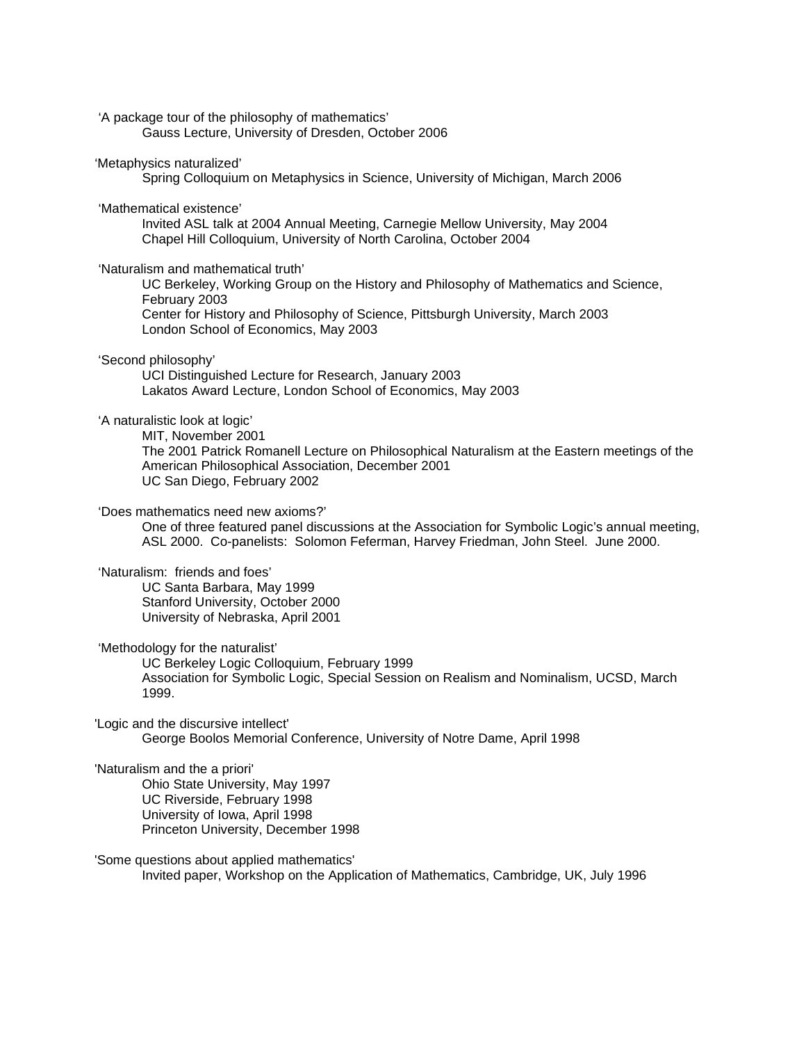'A package tour of the philosophy of mathematics'

Gauss Lecture, University of Dresden, October 2006

#### 'Metaphysics naturalized'

Spring Colloquium on Metaphysics in Science, University of Michigan, March 2006

#### 'Mathematical existence'

Invited ASL talk at 2004 Annual Meeting, Carnegie Mellow University, May 2004 Chapel Hill Colloquium, University of North Carolina, October 2004

#### 'Naturalism and mathematical truth'

UC Berkeley, Working Group on the History and Philosophy of Mathematics and Science, February 2003

Center for History and Philosophy of Science, Pittsburgh University, March 2003 London School of Economics, May 2003

#### 'Second philosophy'

UCI Distinguished Lecture for Research, January 2003 Lakatos Award Lecture, London School of Economics, May 2003

#### 'A naturalistic look at logic'

MIT, November 2001

The 2001 Patrick Romanell Lecture on Philosophical Naturalism at the Eastern meetings of the American Philosophical Association, December 2001 UC San Diego, February 2002

#### 'Does mathematics need new axioms?'

One of three featured panel discussions at the Association for Symbolic Logic's annual meeting, ASL 2000. Co-panelists: Solomon Feferman, Harvey Friedman, John Steel. June 2000.

#### 'Naturalism: friends and foes'

UC Santa Barbara, May 1999 Stanford University, October 2000 University of Nebraska, April 2001

#### 'Methodology for the naturalist'

UC Berkeley Logic Colloquium, February 1999 Association for Symbolic Logic, Special Session on Realism and Nominalism, UCSD, March 1999.

'Logic and the discursive intellect'

George Boolos Memorial Conference, University of Notre Dame, April 1998

## 'Naturalism and the a priori'

Ohio State University, May 1997 UC Riverside, February 1998 University of Iowa, April 1998 Princeton University, December 1998

#### 'Some questions about applied mathematics'

Invited paper, Workshop on the Application of Mathematics, Cambridge, UK, July 1996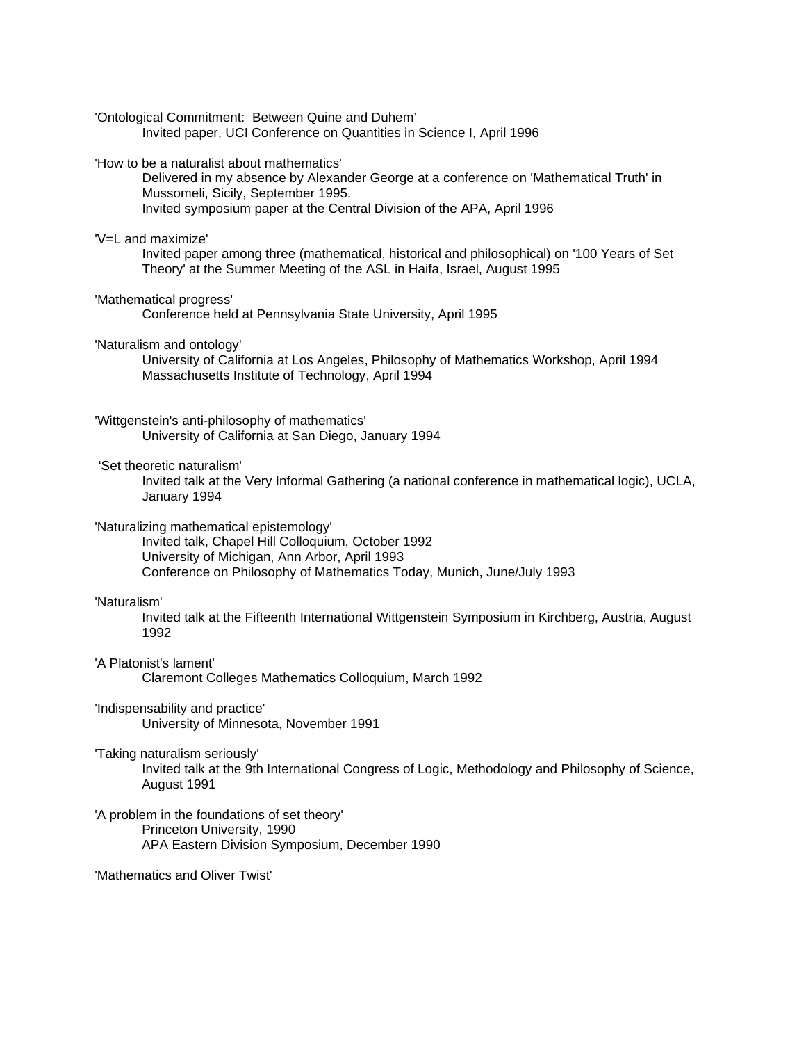'Ontological Commitment: Between Quine and Duhem'

Invited paper, UCI Conference on Quantities in Science I, April 1996

'How to be a naturalist about mathematics'

Delivered in my absence by Alexander George at a conference on 'Mathematical Truth' in Mussomeli, Sicily, September 1995. Invited symposium paper at the Central Division of the APA, April 1996

'V=L and maximize'

Invited paper among three (mathematical, historical and philosophical) on '100 Years of Set Theory' at the Summer Meeting of the ASL in Haifa, Israel, August 1995

'Mathematical progress'

Conference held at Pennsylvania State University, April 1995

'Naturalism and ontology'

University of California at Los Angeles, Philosophy of Mathematics Workshop, April 1994 Massachusetts Institute of Technology, April 1994

'Wittgenstein's anti-philosophy of mathematics'

University of California at San Diego, January 1994

'Set theoretic naturalism'

Invited talk at the Very Informal Gathering (a national conference in mathematical logic), UCLA, January 1994

'Naturalizing mathematical epistemology'

Invited talk, Chapel Hill Colloquium, October 1992 University of Michigan, Ann Arbor, April 1993 Conference on Philosophy of Mathematics Today, Munich, June/July 1993

#### 'Naturalism'

Invited talk at the Fifteenth International Wittgenstein Symposium in Kirchberg, Austria, August 1992

'A Platonist's lament'

Claremont Colleges Mathematics Colloquium, March 1992

'Indispensability and practice' University of Minnesota, November 1991

'Taking naturalism seriously'

Invited talk at the 9th International Congress of Logic, Methodology and Philosophy of Science, August 1991

'A problem in the foundations of set theory' Princeton University, 1990 APA Eastern Division Symposium, December 1990

'Mathematics and Oliver Twist'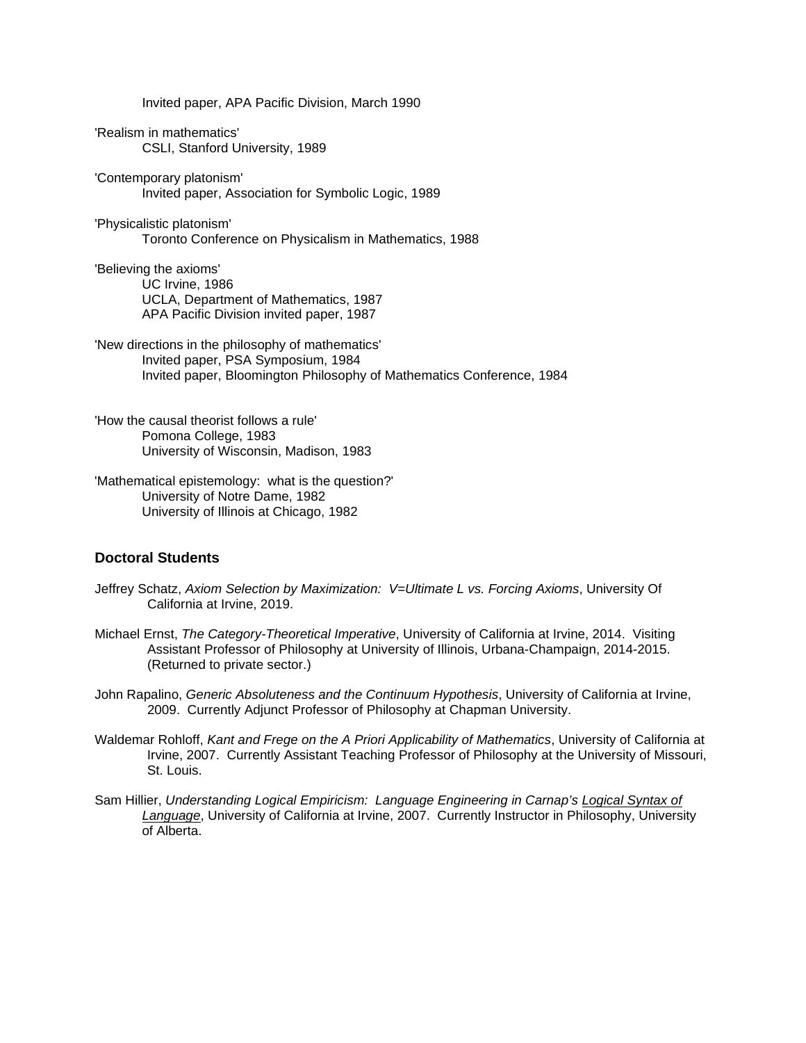Invited paper, APA Pacific Division, March 1990

'Realism in mathematics' CSLI, Stanford University, 1989

'Contemporary platonism' Invited paper, Association for Symbolic Logic, 1989

# 'Physicalistic platonism'

Toronto Conference on Physicalism in Mathematics, 1988

'Believing the axioms' UC Irvine, 1986 UCLA, Department of Mathematics, 1987 APA Pacific Division invited paper, 1987

'New directions in the philosophy of mathematics' Invited paper, PSA Symposium, 1984 Invited paper, Bloomington Philosophy of Mathematics Conference, 1984

'How the causal theorist follows a rule' Pomona College, 1983 University of Wisconsin, Madison, 1983

'Mathematical epistemology: what is the question?' University of Notre Dame, 1982 University of Illinois at Chicago, 1982

## **Doctoral Students**

- Jeffrey Schatz, *Axiom Selection by Maximization: V=Ultimate L vs. Forcing Axioms*, University Of California at Irvine, 2019.
- Michael Ernst, *The Category-Theoretical Imperative*, University of California at Irvine, 2014. Visiting Assistant Professor of Philosophy at University of Illinois, Urbana-Champaign, 2014-2015. (Returned to private sector.)

John Rapalino, *Generic Absoluteness and the Continuum Hypothesis*, University of California at Irvine, 2009. Currently Adjunct Professor of Philosophy at Chapman University.

- Waldemar Rohloff, *Kant and Frege on the A Priori Applicability of Mathematics*, University of California at Irvine, 2007. Currently Assistant Teaching Professor of Philosophy at the University of Missouri, St. Louis.
- Sam Hillier, *Understanding Logical Empiricism: Language Engineering in Carnap's Logical Syntax of Language*, University of California at Irvine, 2007. Currently Instructor in Philosophy, University of Alberta.